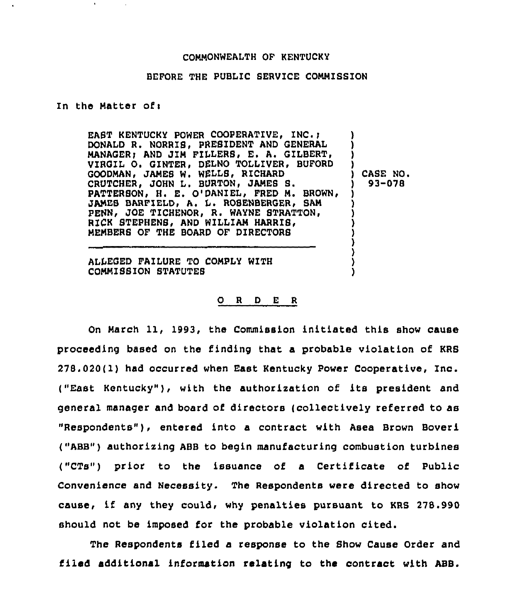### COMMONWEALTH OF KENTUCKY

## BEFORE THE PUBLIC SERVICE COMMISSION

### In the Matter of:

EAST KENTUCKY POWER COOPERATIVE, INC. ; DONALD R. NORRIS, PREBIDENT AND GENERAL MANAGER; AND JIM FILLERS, E. A. GILBERT, VIRGIL 0, GINTER, DELNO TOLLIVER, BUFORD GOODMAN< JAMES W, WELLS< RICHARD CRUTCHER, JOHN L. BURTON, JAMES S. PATTERSON, H. E. O'DANIEL, FRED M. BROWN, JAMES BARFIELD, A. L. ROSENBERGER, SAM PENN, JOE TICHENOR, R. WAYNE STRATTON, RICK STEPHENS, AND WILLIAM HARRIS, MEMBERS OF THE BOARD OF DIRECTORS ) ) ) ) ) CASE NO. ) 93-078 ) ) ) ) ) )

ALLEGED FAILURE TO CONPLY WITH COMMISSION STATUTE8

## 0 <sup>R</sup> <sup>D</sup> E <sup>R</sup>

) ) )

On March 11, 1993, the Commission initiated this show cause proceeding based on the finding that a probable violation of KRS 278.020( 1) had occurred when East Kentucky Power Cooperative, Inc. ("East Kentucky"), with the authorization of its president and general manager and board of directors (collectively referred to as "Respondents"), entered into a contract with Asea Brown Boveri ("ABB") authorising ABB to begin manufacturing combustion turbines ("CTs") prior to the issuance of a Certificate of Public Convenience and Necessity. The Respondents were directed to show cause, if any they could, why penalties pursuant to KRS 278.990 should not be imposed for the probable violation cited.

The Respondents filed a response to the Show Cause Order and filed additional information relating to the contract with ABB.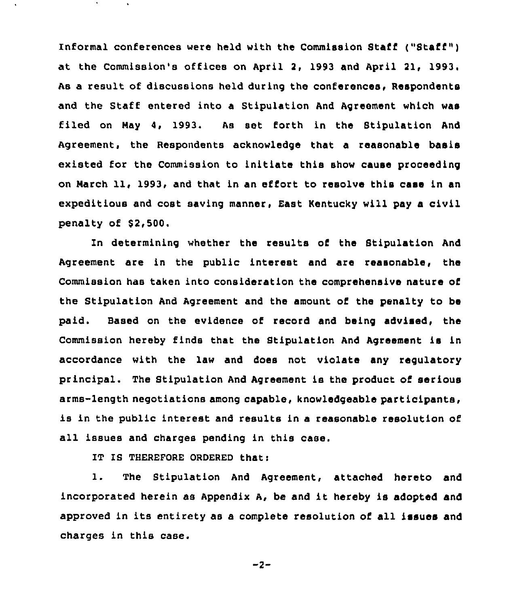Informal conferences were held with the Commission Staff ("Staff") at the Commission's offices on April 2, 1993 and April 21, 1993 a result of discussions held during the conferences, Respondents and the Staff entered into a Stipulation And Agreement which was filed on May 4, 1993. As set forth in the Stipulation And Agreement, the Respondents acknowledge that a reasonable basis existed for the Commission to initiate this show cause proceeding on March 11, 1993, and that in an effort to resolve this case in an expeditious and cost saving manner, East Kentucky will pay a civil penalty of \$2,500.

In determining whether the results of the Stipulation And Agreement are in the public interest and are reasonable, the Commission has taken into consideration the comprehensive nature of the Stipulation And Agreement and the amount of the penalty to be paid. Based on the evidence of record and heing advised, the Commission hereby finds that the Stipulation And Agreement is in accordance with the law and does not violate any regulatory principal. The Stipulation And Agreement is the product of serious arms-length negotiations among capable, knowledgeable participants, is in the public interest and results in a reasonable resolution of all issues and charges pending in this case.

IT IS THEREFORE ORDERED that:

l. The Stipulation And Agreement, attached hereto and incorporated herein as Appendix A, be and it hereby is adopted and approved in its entirety as a complete resolution of all issues and charges in this case.

$$
-2 -
$$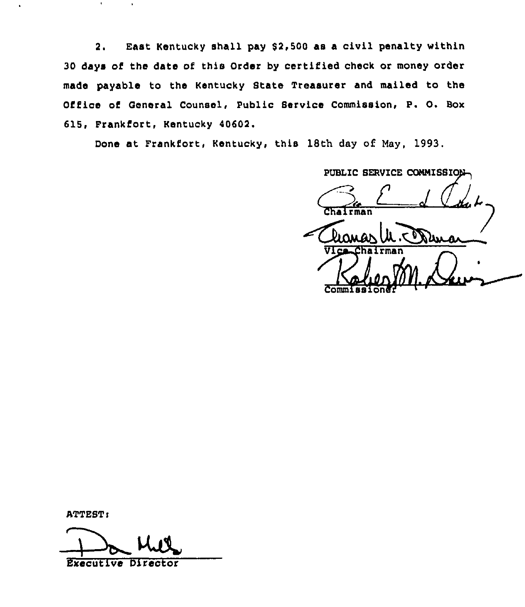2. East Kentucky shall pay \$2,500 as a civil penalty within 30 days of the date of this Order by certified check or money order made payable to the Kentucky State Treasurer and mailed to the Office of General Counsel, Public Service Commission, P. O. Box 615, FrankEort, Kentucky 40602.

Done at Frankfort, Kentucky, this 18th day of. May, 1993.

PUBLIC SERVICE CONNISSION Irman Vice-Chairma Kaher Comm

ATTEST:

Ker Executive Director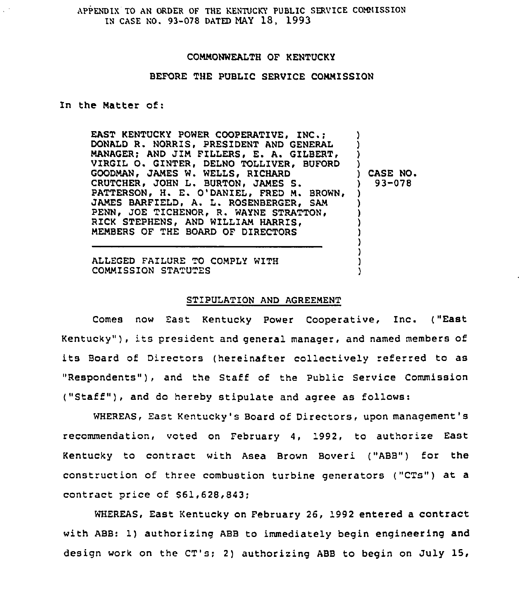APPENDIX TO AN ORDER OF THE KENTUCKY PUBLIC SERVICE COMMISSION IN CASE NO. 93-078 DATED MAY 18, 1993

# COMMONWEALTH OF KENTUCKY

# BEFORE THE PUBLIC SERVICE COMMISSION

## In the Matter of:

EAST KENTUCKY POWER COOPERATIVE, INC.; DONALD R. NORRIS, PRESIDENT AND GENERAL MANAGER; AND JIM FILLERS, E. A. GILBERT, VIRGIL O. GINTER, DELNO TOLLIVER, BUFORD GOODMAN, JAMES W. WELLS, RICHARD CRUTCHER, JOHN L. BURTON, JAMES S. PATTERSON, H. E. O'DANIEL, FRED M. BROWN, JAMES BARFIELD, A. L. ROSENBERGER, SAM PENN, JOE TICHENOR, R. WAYNE STRATTON, RICK STEPHENS, AND WILLIAM HARRIS, MEMBERS OF THE BOARD OF DIRECTORS ) ) ) ) ) CASE NO. ) 93-078 ) ) ) ) )

ALLEGED FAILURE TO COMPLY WITH COMMISSION STATUTES

#### STIPULATION AND AGREEMENT

) ) ) )

Comes now East Kentucky power Cooperative, Inc. ("East Kentucky" ), its president and general manager, and named members of its Board of Directors (hereinafter collectively referred to as "Respondents"), and the Staff of the Public Service Commission ("Staff" ), and do hereby stipulate and agree as follows:

WHEREAS, East Kentucky's Board of Directors, upon management's recommendation, voted on February 4, 1992, to authorize East Kentucky to contract with Asea Brown Boveri ("ABB") for the construction of three combustion turbine generators ("CTs") at a contract price of S61,628,843;

WHEREAS, East Kentucky on February 26, 1992 entered a contract with ABB: 1) authorizing ABB to immediately begin engineering and design work on the CT's; 2) authorizing ABB to begin on July 15,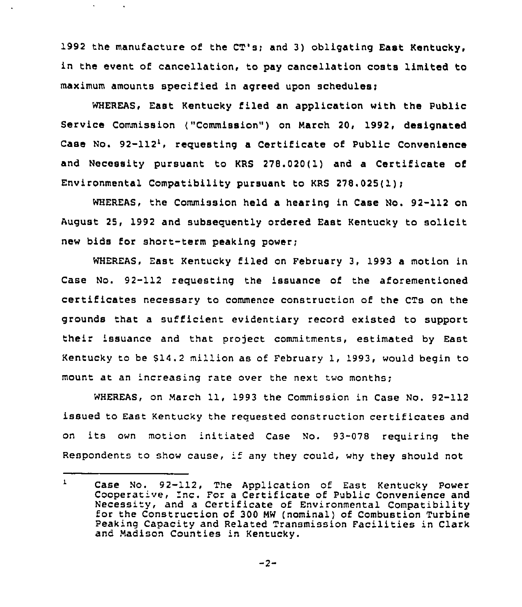1992 the manufacture of the CT's; and 3) obligating East Kentucky, in the event of cancellation, to pay cancellation costs limited to maximum amounts specified in agreed upon schedules;

 $\mathbf{v}$ 

WHEREAS, East Kentucky filed an application with the Public Service Commission ("Commission") on March 20, 1992, designated Case No. 92-112', requesting a Certificate of Public Convenience and Necessity pursuant to KRS 278.020(1) and a Certificate of Environmental Compatibility pursuant to KRS 278.025(1);

WHEREAS, the Commission held a hearing in Case No. 92-112 on August 25, 1992 and subsequently ordered East Kentucky to solicit new bids for short-term peaking power;

WHEREAS, East Kentucky filed on February 3, 1993 a motion in Case No. 92-112 requesting the issuance of the aforementioned certificates necessary to commence construction of the CTs on the grounds that a sufficient evidentiary record existed to support their issuance and that project commitments, estimated by East Kentucky to be 514.2 mil'on as of February 1, 1993, would begin to mount at an increasing rate over the next two months;

WHEREAS, on March 11, 1993 the Commission in Case No. 92-112 issued to East Kentucky the requested construction certificates and on its own motion 'nitiated Case No. 93-078 requiring the Respondents to show cause, if any they could, why they should not

 $-2-$ 

 $\mathbf{r}$ Case No. 92-112, The Application of East Kentucky power Cooperative, Inc. For a Certificate of Public Convenience and Necessity, and a Certificate of Environmental Compatibility for the Construction of 300 MW (nominal) of Combustion Turbine Peaking Capacity and Related Transmission Facilities in Clark and Madison Counties in Kentucky.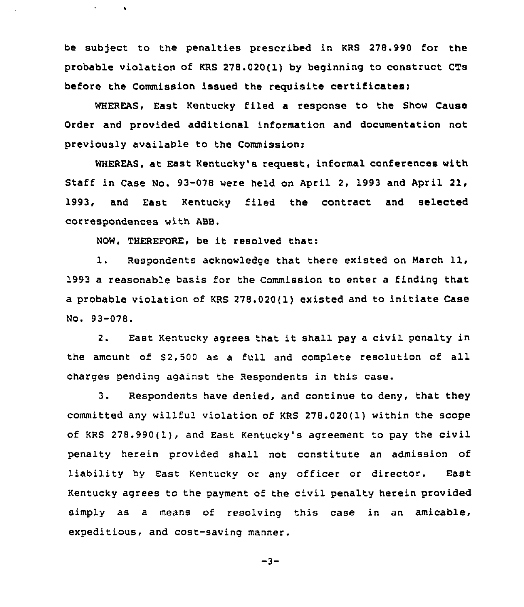be subject to the penalties prescribed in KRS 278.990 for the probable violation of KRS 278.020(1) by beginning to construct CTs before the Commission issued the requisite certificates;

WHEREAS, East Kentucky filed a response to the Show Cause Order and provided additional information and documentation not previously available to the Commission:

WHEREAS, at East Kentucky's request, informal conferences with Staff in Case No. 93-078 were held on April 2, 1993 and April 21, 1993, and East Kentucky filed the contract and selected correspondences with ABB.

NOW, THEREFORE, be it resolved that:

1. Respondents acknowledge that there existed on March 11, 1993 a reasonable basis for the Commission to enter a finding that a probable violation of KRS 278.020{1}existed and to initiate Case No. 93-078.

2. East Kentucky agrees that it shall pay <sup>a</sup> civil penalty in the amount of \$2,500 as a full and complete resolution of all charges pending against the Respondents in this case.

3. Respondents have denied, and continue to deny, that they committed any willful violation of KRS 278.020(1) within the scope of KRS 278.990(1), and East Kentucky's agreement to pay the civil penalty herein provided shall not constitute an admission of liability by East Kentucky or any officer or director. East Kentucky agrees to the payment of the civil penalty herein provided simply as a means of resolving this case in an amicable, expeditious, and cost-saving manner.

$$
-3-
$$